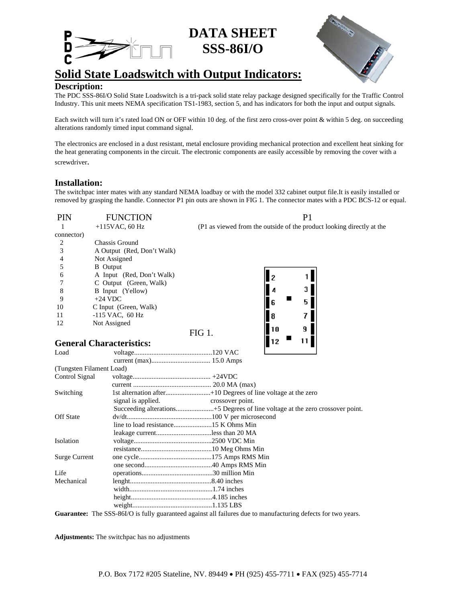## **DATA SHEET SSS-86I/O**



# **Solid State Loadswitch with Output Indicators:**

**Description:** The PDC SSS-86I/O Solid State Loadswitch is a tri-pack solid state relay package designed specifically for the Traffic Control Industry. This unit meets NEMA specification TS1-1983, section 5, and has indicators for both the input and output signals.

Each switch will turn it's rated load ON or OFF within 10 deg. of the first zero cross-over point & within 5 deg. on succeeding alterations randomly timed input command signal.

The electronics are enclosed in a dust resistant, metal enclosure providing mechanical protection and excellent heat sinking for the heat generating components in the circuit. The electronic components are easily accessible by removing the cover with a screwdriver.

## **Installation:**

The switchpac inter mates with any standard NEMA loadbay or with the model 332 cabinet output file.It is easily installed or removed by grasping the handle. Connector P1 pin outs are shown in FIG 1. The connector mates with a PDC BCS-12 or equal.

| <b>PIN</b> | <b>FUNCTION</b>            |                                                                       |
|------------|----------------------------|-----------------------------------------------------------------------|
|            | $+115$ VAC, 60 Hz          | (P1 as viewed from the outside of the product looking directly at the |
| connector) |                            |                                                                       |
|            | Chassis Ground             |                                                                       |
|            | A Output (Red, Don't Walk) |                                                                       |
| 4          | Not Assigned               |                                                                       |
|            | <b>B</b> Output            |                                                                       |
| 6          | A Input (Red, Don't Walk)  |                                                                       |
|            | C Output (Green, Walk)     |                                                                       |
| 8          | B Input (Yellow)           |                                                                       |
| 9          | $+24$ VDC                  | 6                                                                     |
| 10         | C Input (Green, Walk)      |                                                                       |
| 11         | $-115$ VAC, 60 Hz          |                                                                       |
| 12         | Not Assigned               |                                                                       |
|            |                            | FIG 1                                                                 |

 $\| \cdot \|_{12} = \| \cdot \| \cdot \|$ 

**General Characteristics:** 

| Load                     |                                |                                                                                                             |
|--------------------------|--------------------------------|-------------------------------------------------------------------------------------------------------------|
|                          |                                |                                                                                                             |
| (Tungsten Filament Load) |                                |                                                                                                             |
| Control Signal           |                                |                                                                                                             |
|                          |                                |                                                                                                             |
| Switching                |                                |                                                                                                             |
|                          | signal is applied.             | crossover point.                                                                                            |
|                          |                                |                                                                                                             |
| <b>Off State</b>         |                                |                                                                                                             |
|                          |                                |                                                                                                             |
|                          | leakage currentless than 20 MA |                                                                                                             |
| Isolation                |                                |                                                                                                             |
|                          |                                |                                                                                                             |
| <b>Surge Current</b>     |                                |                                                                                                             |
|                          |                                |                                                                                                             |
| Life                     |                                |                                                                                                             |
| Mechanical               |                                |                                                                                                             |
|                          |                                |                                                                                                             |
|                          |                                |                                                                                                             |
|                          |                                |                                                                                                             |
|                          |                                | Cuorantee: The SSS 86UQ is fully quaranteed against all failures due to manufacturing defects for two years |

**Guarantee:** The SSS-86I/O is fully guaranteed against all failures due to manufacturing defects for two years.

**Adjustments:** The switchpac has no adjustments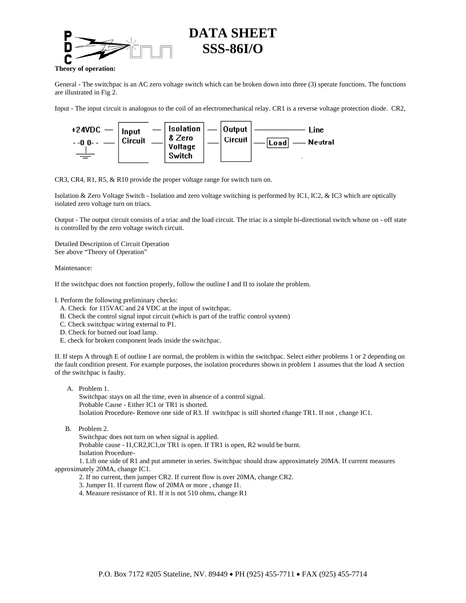

## **DATA SHEET SSS-86I/O**

**Theory of operation:** 

General - The switchpac is an AC zero voltage switch which can be broken down into three (3) sperate functions. The functions are illustrated in Fig 2.

Input - The input circuit is analogous to the coil of an electromechanical relay. CR1 is a reverse voltage protection diode. CR2,



CR3, CR4, R1, R5, & R10 provide the proper voltage range for switch turn on.

Isolation & Zero Voltage Switch - Isolation and zero voltage switching is performed by IC1, IC2, & IC3 which are optically isolated zero voltage turn on triacs.

Output - The output circuit consists of a triac and the load circuit. The triac is a simple bi-directional switch whose on - off state is controlled by the zero voltage switch circuit.

Detailed Description of Circuit Operation See above "Theory of Operation"

### Maintenance:

If the switchpac does not function properly, follow the outline I and II to isolate the problem.

I. Perform the following preliminary checks:

- A. Check for 115VAC and 24 VDC at the input of switchpac.
- B. Check the control signal input circuit (which is part of the traffic control system)
- C. Check switchpac wiring external to P1.
- D. Check for burned out load lamp.
- E. check for broken component leads inside the switchpac.

II. If steps A through E of outline I are normal, the problem is within the switchpac. Select either problems 1 or 2 depending on the fault condition present. For example purposes, the isolation procedures shown in problem 1 assumes that the load A section of the switchpac is faulty.

- A. Problem 1. Switchpac stays on all the time, even in absence of a control signal. Probable Cause - Either IC1 or TR1 is shorted. Isolation Procedure- Remove one side of R3. If switchpac is still shorted change TR1. If not , change IC1.
- B. Problem 2.

Switchpac does not turn on when signal is applied.

 Probable cause - I1,CR2,IC1,or TR1 is open. If TR1 is open, R2 would be burnt. Isolation Procedure-

 1. Lift one side of R1 and put ammeter in series. Switchpac should draw approximately 20MA. If current measures approximately 20MA, change IC1.

2. If no current, then jumper CR2. If current flow is over 20MA, change CR2.

3. Jumper I1. If current flow of 20MA or more , change I1.

4. Measure resistance of R1. If it is not 510 ohms, change R1